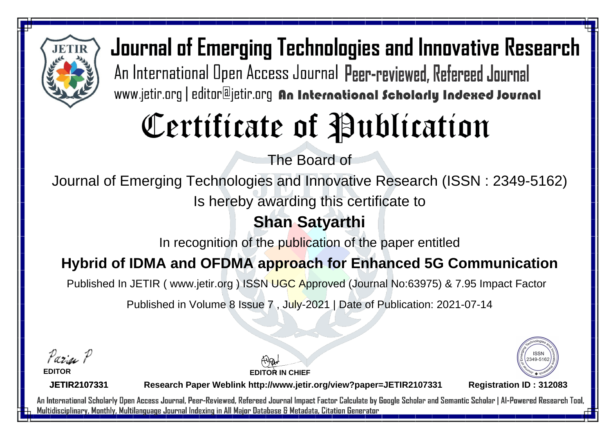

Journal of Emerging Technologies and Innovative Research An International Open Access Journal Peer-reviewed, Refereed Journal www.jetir.org | editor@jetir.org An International Scholarly Indexed Journal

# Certificate of Publication

The Board of

Journal of Emerging Technologies and Innovative Research (ISSN : 2349-5162)

Is hereby awarding this certificate to

## **Shan Satyarthi**

In recognition of the publication of the paper entitled

### **Hybrid of IDMA and OFDMA approach for Enhanced 5G Communication**

Published In JETIR ( www.jetir.org ) ISSN UGC Approved (Journal No: 63975) & 7.95 Impact Factor

Published in Volume 8 Issue 7 , July-2021 | Date of Publication: 2021-07-14

Parin P

**EDITOR**

**EDITOR IN CHIEF**



**JETIR2107331**

**Research Paper Weblink http://www.jetir.org/view?paper=JETIR2107331 Registration ID : 312083**

An International Scholarly Open Access Journal, Peer-Reviewed, Refereed Journal Impact Factor Calculate by Google Scholar and Semantic Scholar | Al-Powered Research Tool, Multidisciplinary, Monthly, Multilanguage Journal Indexing in All Major Database & Metadata, Citation Generator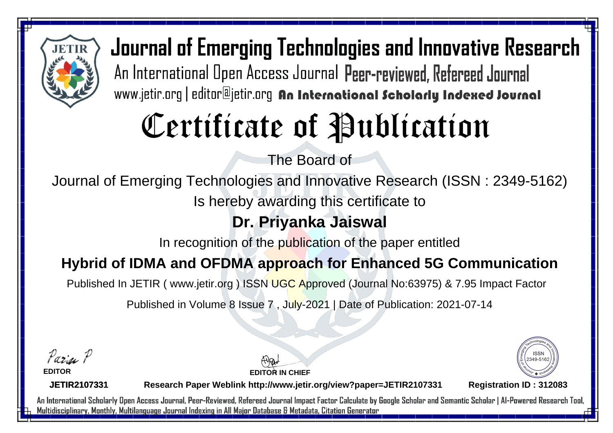

Journal of Emerging Technologies and Innovative Research An International Open Access Journal Peer-reviewed, Refereed Journal www.jetir.org | editor@jetir.org An International Scholarly Indexed Journal

# Certificate of Publication

The Board of

Journal of Emerging Technologies and Innovative Research (ISSN : 2349-5162)

Is hereby awarding this certificate to

## **Dr. Priyanka Jaiswal**

In recognition of the publication of the paper entitled

### **Hybrid of IDMA and OFDMA approach for Enhanced 5G Communication**

Published In JETIR ( www.jetir.org ) ISSN UGC Approved (Journal No: 63975) & 7.95 Impact Factor

Published in Volume 8 Issue 7 , July-2021 | Date of Publication: 2021-07-14

Parin P **EDITOR**



**JETIR2107331**

**Research Paper Weblink http://www.jetir.org/view?paper=JETIR2107331 Registration ID : 312083**

**EDITOR IN CHIEF**

An International Scholarly Open Access Journal, Peer-Reviewed, Refereed Journal Impact Factor Calculate by Google Scholar and Semantic Scholar | Al-Powered Research Tool, Multidisciplinary, Monthly, Multilanguage Journal Indexing in All Major Database & Metadata, Citation Generator